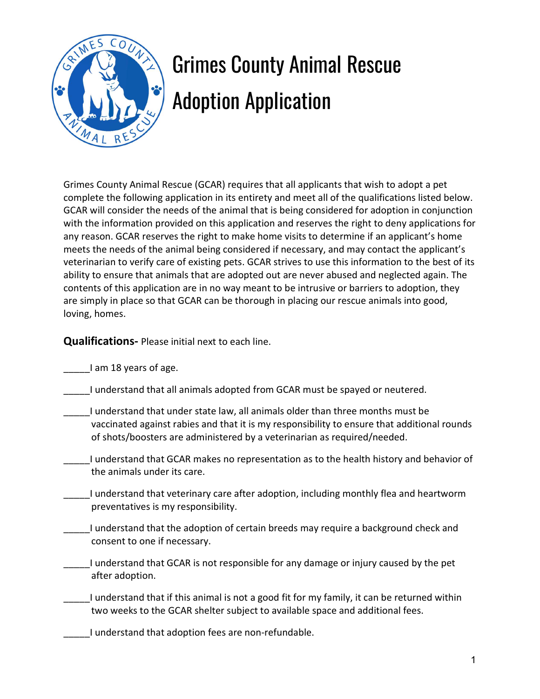

## Grimes County Animal Rescue Adoption Application

Grimes County Animal Rescue (GCAR) requires that all applicants that wish to adopt a pet complete the following application in its entirety and meet all of the qualifications listed below. GCAR will consider the needs of the animal that is being considered for adoption in conjunction with the information provided on this application and reserves the right to deny applications for any reason. GCAR reserves the right to make home visits to determine if an applicant's home meets the needs of the animal being considered if necessary, and may contact the applicant's veterinarian to verify care of existing pets. GCAR strives to use this information to the best of its ability to ensure that animals that are adopted out are never abused and neglected again. The contents of this application are in no way meant to be intrusive or barriers to adoption, they are simply in place so that GCAR can be thorough in placing our rescue animals into good, loving, homes.

Qualifications- Please initial next to each line.

\_\_\_\_\_I am 18 years of age.

- \_\_\_\_\_I understand that all animals adopted from GCAR must be spayed or neutered.
	- \_\_\_\_\_I understand that under state law, all animals older than three months must be vaccinated against rabies and that it is my responsibility to ensure that additional rounds of shots/boosters are administered by a veterinarian as required/needed.
	- \_\_\_\_\_I understand that GCAR makes no representation as to the health history and behavior of the animals under its care.
- \_\_\_\_\_I understand that veterinary care after adoption, including monthly flea and heartworm preventatives is my responsibility.
- \_\_\_\_\_I understand that the adoption of certain breeds may require a background check and consent to one if necessary.
- \_\_\_\_\_I understand that GCAR is not responsible for any damage or injury caused by the pet after adoption.
- \_\_\_\_\_I understand that if this animal is not a good fit for my family, it can be returned within two weeks to the GCAR shelter subject to available space and additional fees.
- \_\_\_\_\_I understand that adoption fees are non-refundable.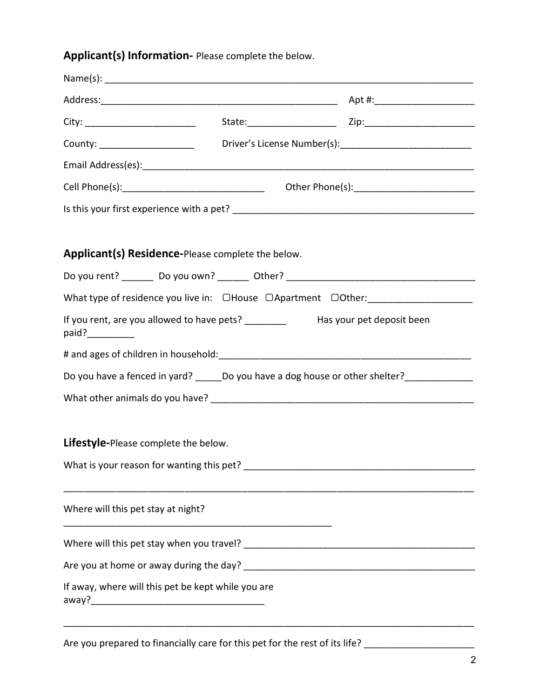## Applicant(s) Information- Please complete the below.

|                                                                                              | County: ________________________________Driver's License Number(s):________________________________ |  |  |  |
|----------------------------------------------------------------------------------------------|-----------------------------------------------------------------------------------------------------|--|--|--|
|                                                                                              |                                                                                                     |  |  |  |
|                                                                                              |                                                                                                     |  |  |  |
|                                                                                              |                                                                                                     |  |  |  |
| Applicant(s) Residence-Please complete the below.                                            |                                                                                                     |  |  |  |
| Do you rent? ________ Do you own? _______ Other? ________________________________            |                                                                                                     |  |  |  |
| What type of residence you live in: OHouse OApartment OOther: __________________             |                                                                                                     |  |  |  |
| If you rent, are you allowed to have pets? ____________ Has your pet deposit been            |                                                                                                     |  |  |  |
|                                                                                              |                                                                                                     |  |  |  |
| Do you have a fenced in yard? ______Do you have a dog house or other shelter? ______________ |                                                                                                     |  |  |  |
|                                                                                              |                                                                                                     |  |  |  |
| Lifestyle-Please complete the below.                                                         |                                                                                                     |  |  |  |
| What is your reason for wanting this pet?                                                    |                                                                                                     |  |  |  |
| Where will this pet stay at night?                                                           |                                                                                                     |  |  |  |
|                                                                                              |                                                                                                     |  |  |  |
|                                                                                              |                                                                                                     |  |  |  |
| If away, where will this pet be kept while you are                                           |                                                                                                     |  |  |  |

Are you prepared to financially care for this pet for the rest of its life? \_\_\_\_\_\_\_\_\_\_\_\_\_\_\_\_\_\_\_\_\_\_\_\_